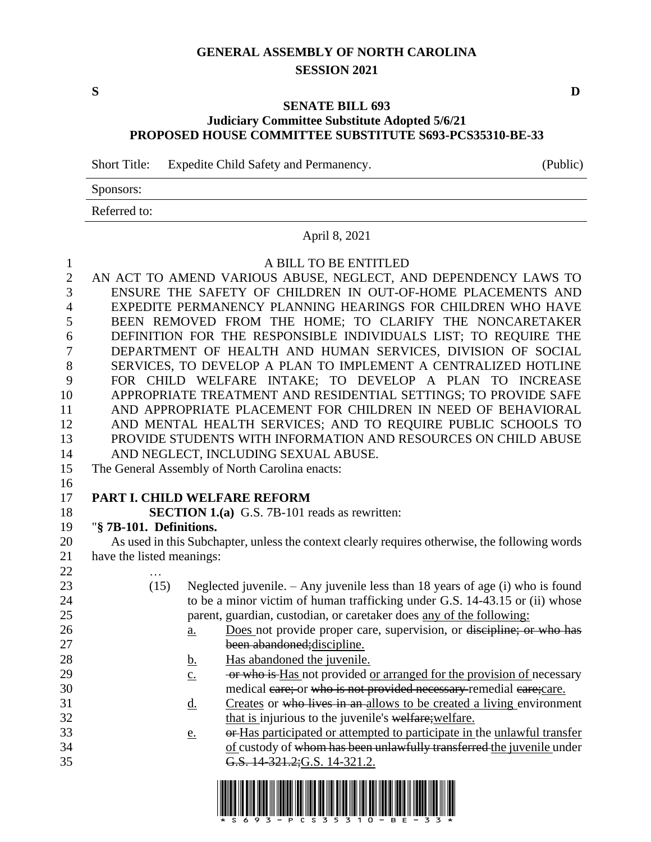# **GENERAL ASSEMBLY OF NORTH CAROLINA SESSION 2021**

**S D**

### **SENATE BILL 693 Judiciary Committee Substitute Adopted 5/6/21 PROPOSED HOUSE COMMITTEE SUBSTITUTE S693-PCS35310-BE-33**

Short Title: Expedite Child Safety and Permanency. (Public)

Sponsors:

Referred to:

# April 8, 2021

#### 1 A BILL TO BE ENTITLED

 AN ACT TO AMEND VARIOUS ABUSE, NEGLECT, AND DEPENDENCY LAWS TO ENSURE THE SAFETY OF CHILDREN IN OUT-OF-HOME PLACEMENTS AND EXPEDITE PERMANENCY PLANNING HEARINGS FOR CHILDREN WHO HAVE BEEN REMOVED FROM THE HOME; TO CLARIFY THE NONCARETAKER DEFINITION FOR THE RESPONSIBLE INDIVIDUALS LIST; TO REQUIRE THE DEPARTMENT OF HEALTH AND HUMAN SERVICES, DIVISION OF SOCIAL SERVICES, TO DEVELOP A PLAN TO IMPLEMENT A CENTRALIZED HOTLINE FOR CHILD WELFARE INTAKE; TO DEVELOP A PLAN TO INCREASE APPROPRIATE TREATMENT AND RESIDENTIAL SETTINGS; TO PROVIDE SAFE AND APPROPRIATE PLACEMENT FOR CHILDREN IN NEED OF BEHAVIORAL AND MENTAL HEALTH SERVICES; AND TO REQUIRE PUBLIC SCHOOLS TO PROVIDE STUDENTS WITH INFORMATION AND RESOURCES ON CHILD ABUSE AND NEGLECT, INCLUDING SEXUAL ABUSE.

- 15 The General Assembly of North Carolina enacts:
- 16

# 17 **PART I. CHILD WELFARE REFORM**

18 **SECTION 1.(a)** G.S. 7B-101 reads as rewritten:

# 19 "**§ 7B-101. Definitions.**

20 As used in this Subchapter, unless the context clearly requires otherwise, the following words 21 have the listed meanings:

22 … 23 (15) Neglected juvenile. – Any juvenile less than 18 years of age (i) who is found 24 to be a minor victim of human trafficking under G.S. 14-43.15 or (ii) whose 25 parent, guardian, custodian, or caretaker does any of the following: 26 a. Does not provide proper care, supervision, or discipline; or who has 27 been abandoned;discipline. 28 b. Has abandoned the juvenile. 29 c. or who is Has not provided or arranged for the provision of necessary 30 medical care; or who is not provided necessary remedial care; care. 31 d. Creates or who lives in an allows to be created a living environment 32 that is injurious to the juvenile's welfare; welfare. 33 e. or Has participated or attempted to participate in the unlawful transfer 34 of custody of whom has been unlawfully transferred the juvenile under 35 G.S. 14-321.2;G.S. 14-321.2.

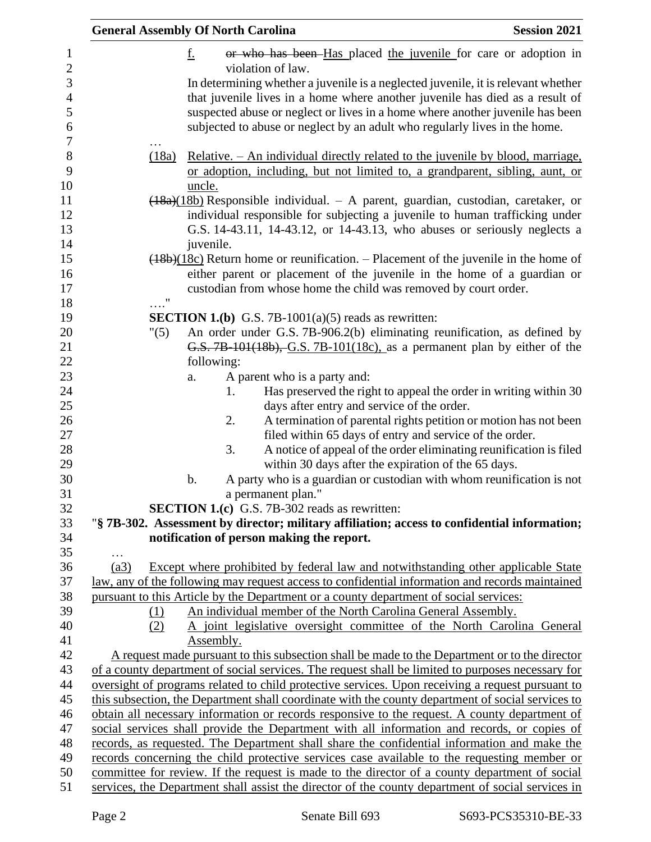| <b>General Assembly Of North Carolina</b> |            |                                                                                       | <b>Session 2021</b>                                                                               |
|-------------------------------------------|------------|---------------------------------------------------------------------------------------|---------------------------------------------------------------------------------------------------|
|                                           | <u>f.</u>  |                                                                                       | or who has been Has placed the juvenile for care or adoption in                                   |
|                                           |            | violation of law.                                                                     |                                                                                                   |
|                                           |            |                                                                                       | In determining whether a juvenile is a neglected juvenile, it is relevant whether                 |
|                                           |            |                                                                                       | that juvenile lives in a home where another juvenile has died as a result of                      |
|                                           |            |                                                                                       | suspected abuse or neglect or lives in a home where another juvenile has been                     |
|                                           |            |                                                                                       | subjected to abuse or neglect by an adult who regularly lives in the home.                        |
|                                           |            |                                                                                       |                                                                                                   |
| (18a)                                     |            |                                                                                       | <u>Relative. – An individual directly related to the juvenile by blood, marriage,</u>             |
|                                           |            |                                                                                       | or adoption, including, but not limited to, a grandparent, sibling, aunt, or                      |
|                                           | uncle.     |                                                                                       |                                                                                                   |
|                                           |            |                                                                                       | $\frac{(18a)(18b)}{18a}$ Responsible individual. - A parent, guardian, custodian, caretaker, or   |
|                                           |            |                                                                                       | individual responsible for subjecting a juvenile to human trafficking under                       |
|                                           |            |                                                                                       | G.S. 14-43.11, 14-43.12, or 14-43.13, who abuses or seriously neglects a                          |
|                                           | juvenile.  |                                                                                       |                                                                                                   |
|                                           |            |                                                                                       | $(18b)(18c)$ Return home or reunification. – Placement of the juvenile in the home of             |
|                                           |            |                                                                                       | either parent or placement of the juvenile in the home of a guardian or                           |
| $\ldots$ "                                |            | custodian from whose home the child was removed by court order.                       |                                                                                                   |
|                                           |            | <b>SECTION 1.(b)</b> G.S. 7B-1001(a)(5) reads as rewritten:                           |                                                                                                   |
| "(5)                                      |            |                                                                                       | An order under G.S. 7B-906.2(b) eliminating reunification, as defined by                          |
|                                           |            |                                                                                       | G.S. 7B-101(18b), G.S. 7B-101(18c), as a permanent plan by either of the                          |
|                                           | following: |                                                                                       |                                                                                                   |
|                                           | a.         | A parent who is a party and:                                                          |                                                                                                   |
|                                           | 1.         |                                                                                       | Has preserved the right to appeal the order in writing within 30                                  |
|                                           |            | days after entry and service of the order.                                            |                                                                                                   |
|                                           | 2.         |                                                                                       | A termination of parental rights petition or motion has not been                                  |
|                                           |            | filed within 65 days of entry and service of the order.                               |                                                                                                   |
|                                           | 3.         |                                                                                       | A notice of appeal of the order eliminating reunification is filed                                |
|                                           |            | within 30 days after the expiration of the 65 days.                                   |                                                                                                   |
|                                           | b.         |                                                                                       | A party who is a guardian or custodian with whom reunification is not                             |
|                                           |            | a permanent plan."                                                                    |                                                                                                   |
|                                           |            | <b>SECTION 1.(c)</b> G.S. 7B-302 reads as rewritten:                                  |                                                                                                   |
|                                           |            |                                                                                       | "§ 7B-302. Assessment by director; military affiliation; access to confidential information;      |
|                                           |            | notification of person making the report.                                             |                                                                                                   |
| (a3)                                      |            |                                                                                       | <b>Except where prohibited by federal law and notwithstanding other applicable State</b>          |
|                                           |            |                                                                                       | law, any of the following may request access to confidential information and records maintained   |
|                                           |            | pursuant to this Article by the Department or a county department of social services: |                                                                                                   |
| (1)                                       |            | An individual member of the North Carolina General Assembly.                          |                                                                                                   |
| (2)                                       |            |                                                                                       | A joint legislative oversight committee of the North Carolina General                             |
|                                           | Assembly.  |                                                                                       |                                                                                                   |
|                                           |            |                                                                                       | A request made pursuant to this subsection shall be made to the Department or to the director     |
|                                           |            |                                                                                       | of a county department of social services. The request shall be limited to purposes necessary for |
|                                           |            |                                                                                       | oversight of programs related to child protective services. Upon receiving a request pursuant to  |
|                                           |            |                                                                                       | this subsection, the Department shall coordinate with the county department of social services to |
|                                           |            |                                                                                       | obtain all necessary information or records responsive to the request. A county department of     |
|                                           |            |                                                                                       | social services shall provide the Department with all information and records, or copies of       |
|                                           |            |                                                                                       | records, as requested. The Department shall share the confidential information and make the       |
|                                           |            |                                                                                       | records concerning the child protective services case available to the requesting member or       |
|                                           |            |                                                                                       | committee for review. If the request is made to the director of a county department of social     |
|                                           |            |                                                                                       | services, the Department shall assist the director of the county department of social services in |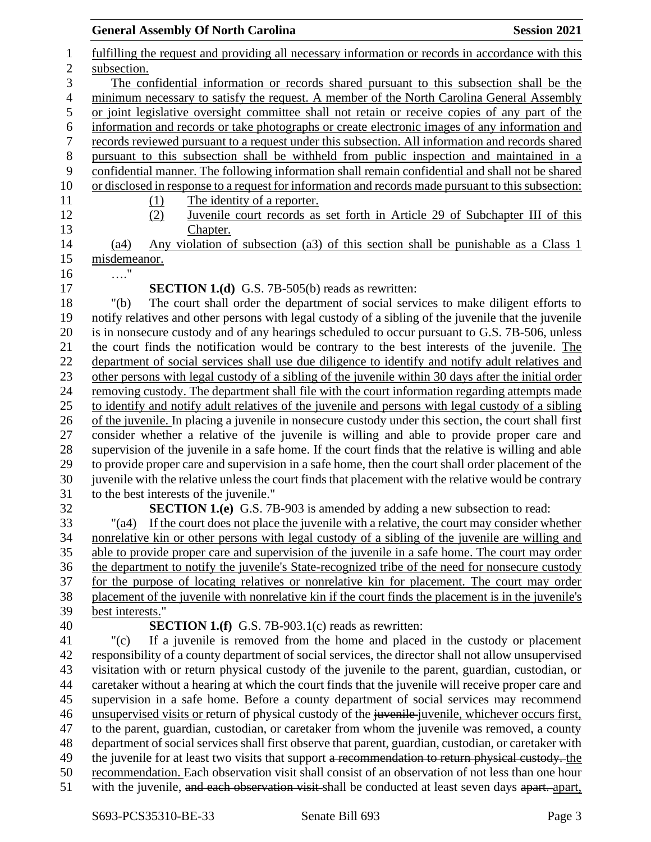|                            | <b>Session 2021</b><br><b>General Assembly Of North Carolina</b>                                                                                                                                    |
|----------------------------|-----------------------------------------------------------------------------------------------------------------------------------------------------------------------------------------------------|
| $\mathbf{1}$<br>$\sqrt{2}$ | fulfilling the request and providing all necessary information or records in accordance with this<br>subsection.                                                                                    |
| $\overline{3}$             | The confidential information or records shared pursuant to this subsection shall be the                                                                                                             |
| $\overline{4}$             | minimum necessary to satisfy the request. A member of the North Carolina General Assembly                                                                                                           |
| 5                          | or joint legislative oversight committee shall not retain or receive copies of any part of the                                                                                                      |
| $\boldsymbol{6}$           | information and records or take photographs or create electronic images of any information and                                                                                                      |
| $\boldsymbol{7}$           | records reviewed pursuant to a request under this subsection. All information and records shared                                                                                                    |
| $\, 8$                     | pursuant to this subsection shall be withheld from public inspection and maintained in a                                                                                                            |
| 9                          | confidential manner. The following information shall remain confidential and shall not be shared                                                                                                    |
| 10                         | or disclosed in response to a request for information and records made pursuant to this subsection:                                                                                                 |
| 11                         | The identity of a reporter.<br>(1)                                                                                                                                                                  |
| 12                         | Juvenile court records as set forth in Article 29 of Subchapter III of this<br>(2)                                                                                                                  |
| 13                         | Chapter.                                                                                                                                                                                            |
| 14                         | Any violation of subsection (a3) of this section shall be punishable as a Class 1<br>(a4)                                                                                                           |
| 15                         | misdemeanor.                                                                                                                                                                                        |
| 16                         | $\ldots$ <sup>"</sup>                                                                                                                                                                               |
| 17                         | <b>SECTION 1.(d)</b> G.S. 7B-505(b) reads as rewritten:                                                                                                                                             |
| 18                         | The court shall order the department of social services to make diligent efforts to<br>" $(b)$                                                                                                      |
| 19                         | notify relatives and other persons with legal custody of a sibling of the juvenile that the juvenile                                                                                                |
| 20                         | is in nonsecure custody and of any hearings scheduled to occur pursuant to G.S. 7B-506, unless                                                                                                      |
| 21                         | the court finds the notification would be contrary to the best interests of the juvenile. The                                                                                                       |
| 22                         | department of social services shall use due diligence to identify and notify adult relatives and                                                                                                    |
| 23                         | other persons with legal custody of a sibling of the juvenile within 30 days after the initial order                                                                                                |
| 24                         | removing custody. The department shall file with the court information regarding attempts made                                                                                                      |
| 25                         | to identify and notify adult relatives of the juvenile and persons with legal custody of a sibling                                                                                                  |
| 26                         | of the juvenile. In placing a juvenile in nonsecure custody under this section, the court shall first                                                                                               |
| 27                         | consider whether a relative of the juvenile is willing and able to provide proper care and                                                                                                          |
| 28                         | supervision of the juvenile in a safe home. If the court finds that the relative is willing and able                                                                                                |
| 29                         | to provide proper care and supervision in a safe home, then the court shall order placement of the                                                                                                  |
| 30                         | juvenile with the relative unless the court finds that placement with the relative would be contrary                                                                                                |
| 31                         | to the best interests of the juvenile."                                                                                                                                                             |
| 32                         | <b>SECTION 1.(e)</b> G.S. 7B-903 is amended by adding a new subsection to read:                                                                                                                     |
| 33                         | If the court does not place the juvenile with a relative, the court may consider whether<br>"(a4)                                                                                                   |
| 34<br>35                   | nonrelative kin or other persons with legal custody of a sibling of the juvenile are willing and                                                                                                    |
| 36                         | able to provide proper care and supervision of the juvenile in a safe home. The court may order<br>the department to notify the juvenile's State-recognized tribe of the need for nonsecure custody |
| 37                         | for the purpose of locating relatives or nonrelative kin for placement. The court may order                                                                                                         |
| 38                         | placement of the juvenile with nonrelative kin if the court finds the placement is in the juvenile's                                                                                                |
| 39                         | best interests."                                                                                                                                                                                    |
| 40                         | <b>SECTION 1.(f)</b> G.S. 7B-903.1(c) reads as rewritten:                                                                                                                                           |
| 41                         | If a juvenile is removed from the home and placed in the custody or placement<br>" $(c)$                                                                                                            |
| 42                         | responsibility of a county department of social services, the director shall not allow unsupervised                                                                                                 |
| 43                         | visitation with or return physical custody of the juvenile to the parent, guardian, custodian, or                                                                                                   |
| 44                         | caretaker without a hearing at which the court finds that the juvenile will receive proper care and                                                                                                 |
| 45                         | supervision in a safe home. Before a county department of social services may recommend                                                                                                             |
| 46                         | unsupervised visits or return of physical custody of the juvenile-juvenile, whichever occurs first,                                                                                                 |
| 47                         | to the parent, guardian, custodian, or caretaker from whom the juvenile was removed, a county                                                                                                       |
| 48                         | department of social services shall first observe that parent, guardian, custodian, or caretaker with                                                                                               |
| 49                         | the juvenile for at least two visits that support a recommendation to return physical custody. the                                                                                                  |
| 50                         | recommendation. Each observation visit shall consist of an observation of not less than one hour                                                                                                    |
| 51                         | with the juvenile, and each observation visit shall be conducted at least seven days apart. apart,                                                                                                  |
|                            |                                                                                                                                                                                                     |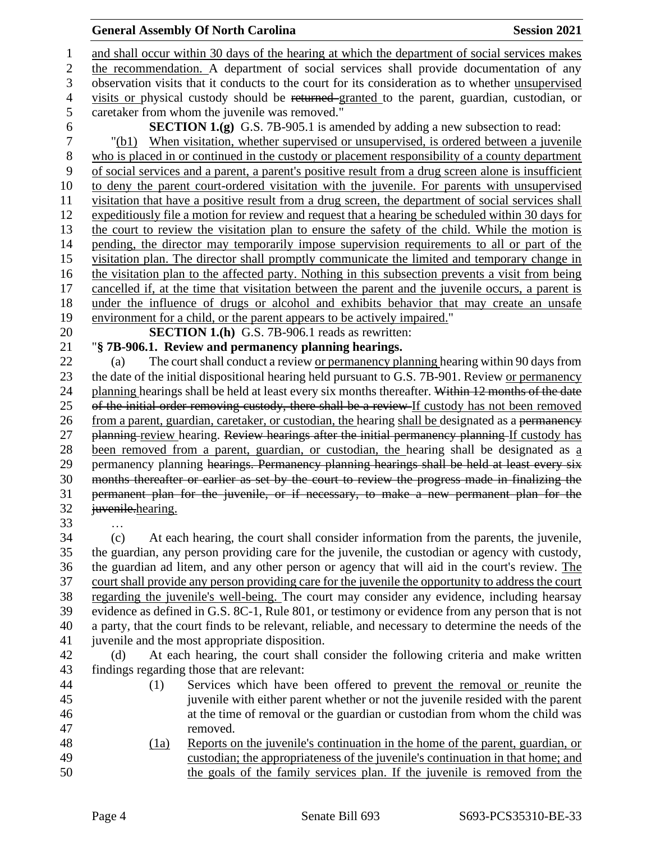# **General Assembly Of North Carolina Session 2021**

 and shall occur within 30 days of the hearing at which the department of social services makes the recommendation. A department of social services shall provide documentation of any observation visits that it conducts to the court for its consideration as to whether unsupervised visits or physical custody should be returned granted to the parent, guardian, custodian, or caretaker from whom the juvenile was removed."

**SECTION 1.(g)** G.S. 7B-905.1 is amended by adding a new subsection to read:

 "(b1) When visitation, whether supervised or unsupervised, is ordered between a juvenile who is placed in or continued in the custody or placement responsibility of a county department of social services and a parent, a parent's positive result from a drug screen alone is insufficient to deny the parent court-ordered visitation with the juvenile. For parents with unsupervised visitation that have a positive result from a drug screen, the department of social services shall expeditiously file a motion for review and request that a hearing be scheduled within 30 days for the court to review the visitation plan to ensure the safety of the child. While the motion is pending, the director may temporarily impose supervision requirements to all or part of the visitation plan. The director shall promptly communicate the limited and temporary change in the visitation plan to the affected party. Nothing in this subsection prevents a visit from being cancelled if, at the time that visitation between the parent and the juvenile occurs, a parent is under the influence of drugs or alcohol and exhibits behavior that may create an unsafe environment for a child, or the parent appears to be actively impaired."

**SECTION 1.(h)** G.S. 7B-906.1 reads as rewritten:

"**§ 7B-906.1. Review and permanency planning hearings.**

 (a) The court shall conduct a review or permanency planning hearing within 90 days from the date of the initial dispositional hearing held pursuant to G.S. 7B-901. Review or permanency 24 planning hearings shall be held at least every six months thereafter. Within 12 months of the date 25 of the initial order removing custody, there shall be a review If custody has not been removed 26 from a parent, guardian, caretaker, or custodian, the hearing shall be designated as a permanency 27 planning review hearing. Review hearings after the initial permanency planning If custody has been removed from a parent, guardian, or custodian, the hearing shall be designated as a 29 permanency planning hearings. Permanency planning hearings shall be held at least every six months thereafter or earlier as set by the court to review the progress made in finalizing the permanent plan for the juvenile, or if necessary, to make a new permanent plan for the juvenile.hearing.

…

 (c) At each hearing, the court shall consider information from the parents, the juvenile, the guardian, any person providing care for the juvenile, the custodian or agency with custody, the guardian ad litem, and any other person or agency that will aid in the court's review. The court shall provide any person providing care for the juvenile the opportunity to address the court regarding the juvenile's well-being. The court may consider any evidence, including hearsay evidence as defined in G.S. 8C-1, Rule 801, or testimony or evidence from any person that is not a party, that the court finds to be relevant, reliable, and necessary to determine the needs of the juvenile and the most appropriate disposition.

 (d) At each hearing, the court shall consider the following criteria and make written findings regarding those that are relevant:

- (1) Services which have been offered to prevent the removal or reunite the juvenile with either parent whether or not the juvenile resided with the parent at the time of removal or the guardian or custodian from whom the child was removed.
- (1a) Reports on the juvenile's continuation in the home of the parent, guardian, or custodian; the appropriateness of the juvenile's continuation in that home; and the goals of the family services plan. If the juvenile is removed from the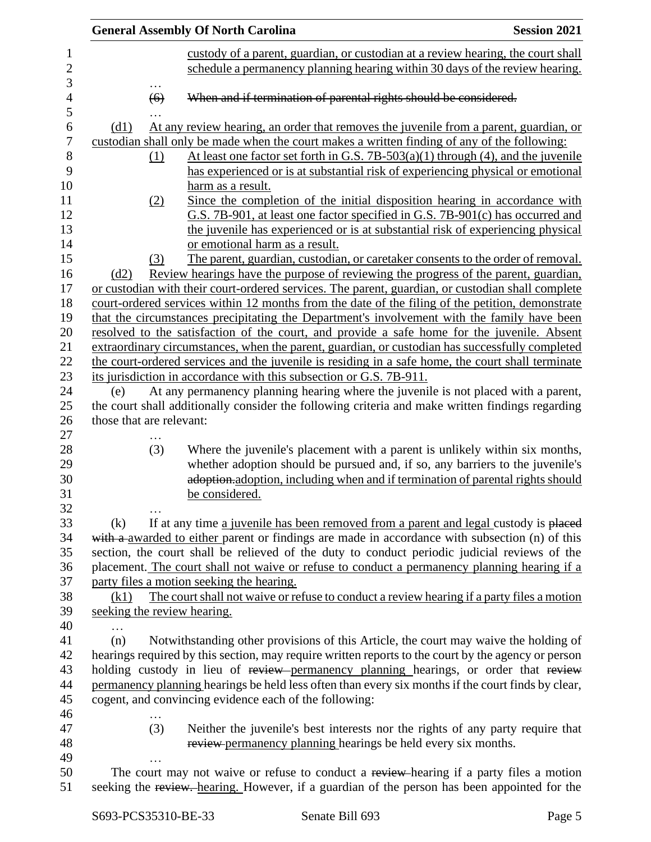|                          |     | <b>General Assembly Of North Carolina</b>                                                                                                                                                      | <b>Session 2021</b> |
|--------------------------|-----|------------------------------------------------------------------------------------------------------------------------------------------------------------------------------------------------|---------------------|
|                          |     | custody of a parent, guardian, or custodian at a review hearing, the court shall                                                                                                               |                     |
|                          |     | schedule a permanency planning hearing within 30 days of the review hearing.                                                                                                                   |                     |
|                          | (6) | When and if termination of parental rights should be considered.                                                                                                                               |                     |
|                          |     |                                                                                                                                                                                                |                     |
| (d1)                     |     | At any review hearing, an order that removes the juvenile from a parent, guardian, or                                                                                                          |                     |
|                          |     | custodian shall only be made when the court makes a written finding of any of the following:                                                                                                   |                     |
|                          | (1) | At least one factor set forth in G.S. 7B-503(a)(1) through (4), and the juvenile<br>has experienced or is at substantial risk of experiencing physical or emotional                            |                     |
|                          |     | harm as a result.                                                                                                                                                                              |                     |
|                          | (2) | Since the completion of the initial disposition hearing in accordance with                                                                                                                     |                     |
|                          |     | G.S. 7B-901, at least one factor specified in G.S. 7B-901(c) has occurred and                                                                                                                  |                     |
|                          |     | the juvenile has experienced or is at substantial risk of experiencing physical                                                                                                                |                     |
|                          |     | or emotional harm as a result.                                                                                                                                                                 |                     |
|                          | (3) | The parent, guardian, custodian, or caretaker consents to the order of removal.                                                                                                                |                     |
| (d2)                     |     | Review hearings have the purpose of reviewing the progress of the parent, guardian,                                                                                                            |                     |
|                          |     | or custodian with their court-ordered services. The parent, guardian, or custodian shall complete                                                                                              |                     |
|                          |     | court-ordered services within 12 months from the date of the filing of the petition, demonstrate                                                                                               |                     |
|                          |     | that the circumstances precipitating the Department's involvement with the family have been                                                                                                    |                     |
|                          |     | resolved to the satisfaction of the court, and provide a safe home for the juvenile. Absent                                                                                                    |                     |
|                          |     | extraordinary circumstances, when the parent, guardian, or custodian has successfully completed                                                                                                |                     |
|                          |     | the court-ordered services and the juvenile is residing in a safe home, the court shall terminate                                                                                              |                     |
|                          |     | its jurisdiction in accordance with this subsection or G.S. 7B-911.                                                                                                                            |                     |
| (e)                      |     | At any permanency planning hearing where the juvenile is not placed with a parent,                                                                                                             |                     |
|                          |     | the court shall additionally consider the following criteria and make written findings regarding                                                                                               |                     |
| those that are relevant: |     |                                                                                                                                                                                                |                     |
|                          |     |                                                                                                                                                                                                |                     |
|                          | (3) | Where the juvenile's placement with a parent is unlikely within six months,                                                                                                                    |                     |
|                          |     | whether adoption should be pursued and, if so, any barriers to the juvenile's                                                                                                                  |                     |
|                          |     | adoption, adoption, including when and if termination of parental rights should                                                                                                                |                     |
|                          |     | be considered.                                                                                                                                                                                 |                     |
|                          |     |                                                                                                                                                                                                |                     |
| (k)                      |     | If at any time a juvenile has been removed from a parent and legal custody is placed                                                                                                           |                     |
|                          |     | with a awarded to either parent or findings are made in accordance with subsection (n) of this<br>section, the court shall be relieved of the duty to conduct periodic judicial reviews of the |                     |
|                          |     | placement. The court shall not waive or refuse to conduct a permanency planning hearing if a                                                                                                   |                     |
|                          |     | party files a motion seeking the hearing.                                                                                                                                                      |                     |
| (k1)                     |     | The court shall not waive or refuse to conduct a review hearing if a party files a motion                                                                                                      |                     |
|                          |     | seeking the review hearing.                                                                                                                                                                    |                     |
| .                        |     |                                                                                                                                                                                                |                     |
| (n)                      |     | Notwithstanding other provisions of this Article, the court may waive the holding of                                                                                                           |                     |
|                          |     | hearings required by this section, may require written reports to the court by the agency or person                                                                                            |                     |
|                          |     | holding custody in lieu of review permanency planning hearings, or order that review                                                                                                           |                     |
|                          |     | permanency planning hearings be held less often than every six months if the court finds by clear,                                                                                             |                     |
|                          |     | cogent, and convincing evidence each of the following:                                                                                                                                         |                     |
|                          |     |                                                                                                                                                                                                |                     |
|                          | (3) | Neither the juvenile's best interests nor the rights of any party require that                                                                                                                 |                     |
|                          |     | review permanency planning hearings be held every six months.                                                                                                                                  |                     |
|                          |     |                                                                                                                                                                                                |                     |
|                          |     | The court may not waive or refuse to conduct a review-hearing if a party files a motion                                                                                                        |                     |
|                          |     | seeking the review. hearing. However, if a guardian of the person has been appointed for the                                                                                                   |                     |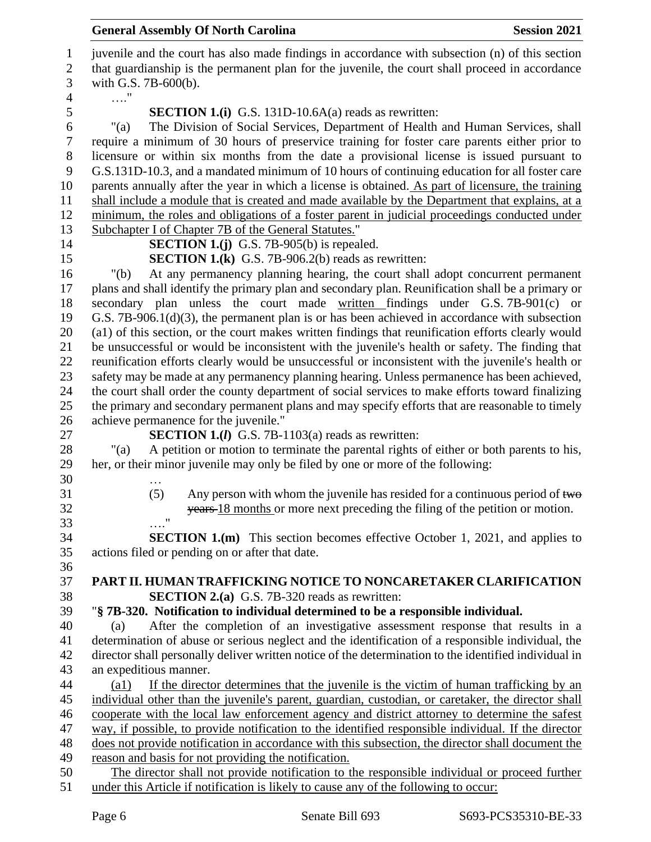juvenile and the court has also made findings in accordance with subsection (n) of this section that guardianship is the permanent plan for the juvenile, the court shall proceed in accordance with G.S. 7B-600(b). …." **SECTION 1.(i)** G.S. 131D-10.6A(a) reads as rewritten: "(a) The Division of Social Services, Department of Health and Human Services, shall require a minimum of 30 hours of preservice training for foster care parents either prior to licensure or within six months from the date a provisional license is issued pursuant to G.S.131D-10.3, and a mandated minimum of 10 hours of continuing education for all foster care parents annually after the year in which a license is obtained. As part of licensure, the training shall include a module that is created and made available by the Department that explains, at a minimum, the roles and obligations of a foster parent in judicial proceedings conducted under Subchapter I of Chapter 7B of the General Statutes." **SECTION 1.(j)** G.S. 7B-905(b) is repealed. **SECTION 1.(k)** G.S. 7B-906.2(b) reads as rewritten: "(b) At any permanency planning hearing, the court shall adopt concurrent permanent plans and shall identify the primary plan and secondary plan. Reunification shall be a primary or secondary plan unless the court made written findings under G.S. 7B-901(c) or G.S. 7B-906.1(d)(3), the permanent plan is or has been achieved in accordance with subsection (a1) of this section, or the court makes written findings that reunification efforts clearly would be unsuccessful or would be inconsistent with the juvenile's health or safety. The finding that reunification efforts clearly would be unsuccessful or inconsistent with the juvenile's health or safety may be made at any permanency planning hearing. Unless permanence has been achieved, the court shall order the county department of social services to make efforts toward finalizing the primary and secondary permanent plans and may specify efforts that are reasonable to timely achieve permanence for the juvenile." **SECTION 1.(***l***)** G.S. 7B-1103(a) reads as rewritten: "(a) A petition or motion to terminate the parental rights of either or both parents to his, her, or their minor juvenile may only be filed by one or more of the following: … 31 (5) Any person with whom the juvenile has resided for a continuous period of two years 18 months or more next preceding the filing of the petition or motion. …." **SECTION 1.(m)** This section becomes effective October 1, 2021, and applies to actions filed or pending on or after that date. **PART II. HUMAN TRAFFICKING NOTICE TO NONCARETAKER CLARIFICATION SECTION 2.(a)** G.S. 7B-320 reads as rewritten: "**§ 7B-320. Notification to individual determined to be a responsible individual.** (a) After the completion of an investigative assessment response that results in a determination of abuse or serious neglect and the identification of a responsible individual, the director shall personally deliver written notice of the determination to the identified individual in an expeditious manner. (a1) If the director determines that the juvenile is the victim of human trafficking by an individual other than the juvenile's parent, guardian, custodian, or caretaker, the director shall cooperate with the local law enforcement agency and district attorney to determine the safest way, if possible, to provide notification to the identified responsible individual. If the director does not provide notification in accordance with this subsection, the director shall document the reason and basis for not providing the notification. The director shall not provide notification to the responsible individual or proceed further under this Article if notification is likely to cause any of the following to occur: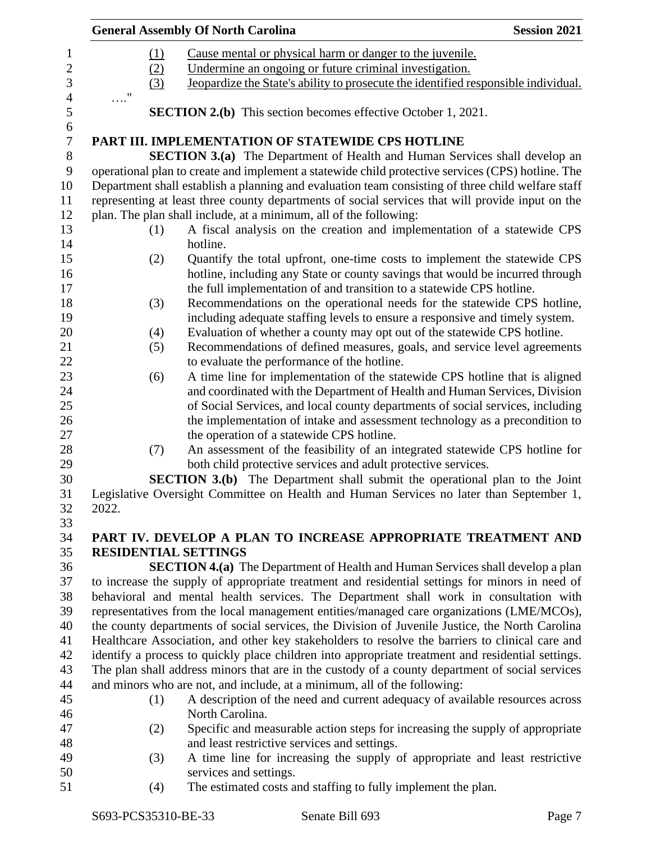|            |     | <b>General Assembly Of North Carolina</b>                                                         | <b>Session 2021</b> |
|------------|-----|---------------------------------------------------------------------------------------------------|---------------------|
|            | (1) | Cause mental or physical harm or danger to the juvenile.                                          |                     |
|            | (2) | Undermine an ongoing or future criminal investigation.                                            |                     |
|            | (3) | Jeopardize the State's ability to prosecute the identified responsible individual.                |                     |
| $\ldots$ " |     |                                                                                                   |                     |
|            |     | <b>SECTION 2.(b)</b> This section becomes effective October 1, 2021.                              |                     |
|            |     | PART III. IMPLEMENTATION OF STATEWIDE CPS HOTLINE                                                 |                     |
|            |     | <b>SECTION 3.(a)</b> The Department of Health and Human Services shall develop an                 |                     |
|            |     | operational plan to create and implement a statewide child protective services (CPS) hotline. The |                     |
|            |     | Department shall establish a planning and evaluation team consisting of three child welfare staff |                     |
|            |     | representing at least three county departments of social services that will provide input on the  |                     |
|            |     | plan. The plan shall include, at a minimum, all of the following:                                 |                     |
|            | (1) | A fiscal analysis on the creation and implementation of a statewide CPS<br>hotline.               |                     |
|            | (2) | Quantify the total upfront, one-time costs to implement the statewide CPS                         |                     |
|            |     | hotline, including any State or county savings that would be incurred through                     |                     |
|            |     | the full implementation of and transition to a statewide CPS hotline.                             |                     |
|            | (3) | Recommendations on the operational needs for the statewide CPS hotline,                           |                     |
|            |     | including adequate staffing levels to ensure a responsive and timely system.                      |                     |
|            | (4) | Evaluation of whether a county may opt out of the statewide CPS hotline.                          |                     |
|            | (5) | Recommendations of defined measures, goals, and service level agreements                          |                     |
|            |     | to evaluate the performance of the hotline.                                                       |                     |
|            | (6) | A time line for implementation of the statewide CPS hotline that is aligned                       |                     |
|            |     | and coordinated with the Department of Health and Human Services, Division                        |                     |
|            |     | of Social Services, and local county departments of social services, including                    |                     |
|            |     | the implementation of intake and assessment technology as a precondition to                       |                     |
|            |     | the operation of a statewide CPS hotline.                                                         |                     |
|            | (7) | An assessment of the feasibility of an integrated statewide CPS hotline for                       |                     |
|            |     | both child protective services and adult protective services.                                     |                     |
|            |     | <b>SECTION 3.(b)</b> The Department shall submit the operational plan to the Joint                |                     |
|            |     | Legislative Oversight Committee on Health and Human Services no later than September 1,           |                     |
| 2022.      |     |                                                                                                   |                     |
|            |     | PART IV. DEVELOP A PLAN TO INCREASE APPROPRIATE TREATMENT AND                                     |                     |
|            |     | <b>RESIDENTIAL SETTINGS</b>                                                                       |                     |
|            |     | <b>SECTION 4.(a)</b> The Department of Health and Human Services shall develop a plan             |                     |
|            |     | to increase the supply of appropriate treatment and residential settings for minors in need of    |                     |
|            |     | behavioral and mental health services. The Department shall work in consultation with             |                     |
|            |     | representatives from the local management entities/managed care organizations (LME/MCOs),         |                     |
|            |     | the county departments of social services, the Division of Juvenile Justice, the North Carolina   |                     |
|            |     | Healthcare Association, and other key stakeholders to resolve the barriers to clinical care and   |                     |
|            |     | identify a process to quickly place children into appropriate treatment and residential settings. |                     |
|            |     | The plan shall address minors that are in the custody of a county department of social services   |                     |
|            |     | and minors who are not, and include, at a minimum, all of the following:                          |                     |
|            | (1) | A description of the need and current adequacy of available resources across                      |                     |
|            |     | North Carolina.                                                                                   |                     |
|            | (2) | Specific and measurable action steps for increasing the supply of appropriate                     |                     |
|            |     | and least restrictive services and settings.                                                      |                     |
|            | (3) | A time line for increasing the supply of appropriate and least restrictive                        |                     |
|            |     | services and settings.                                                                            |                     |
|            |     |                                                                                                   |                     |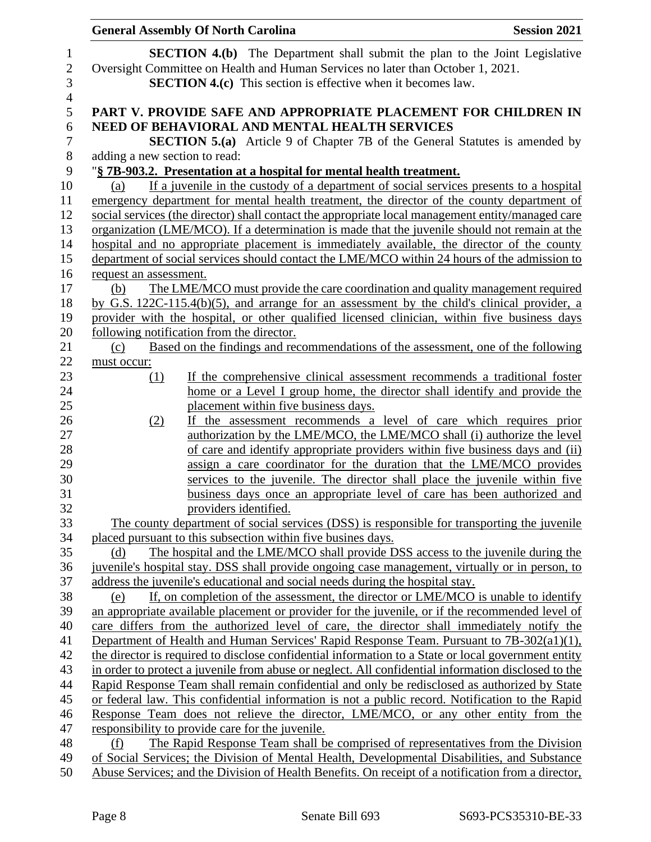|                                        | <b>General Assembly Of North Carolina</b>                                                                                                                                                                                                    | <b>Session 2021</b> |
|----------------------------------------|----------------------------------------------------------------------------------------------------------------------------------------------------------------------------------------------------------------------------------------------|---------------------|
| 1<br>$\sqrt{2}$<br>3<br>$\overline{4}$ | <b>SECTION 4.(b)</b> The Department shall submit the plan to the Joint Legislative<br>Oversight Committee on Health and Human Services no later than October 1, 2021.<br><b>SECTION 4.(c)</b> This section is effective when it becomes law. |                     |
| 5                                      | PART V. PROVIDE SAFE AND APPROPRIATE PLACEMENT FOR CHILDREN IN                                                                                                                                                                               |                     |
| 6                                      | NEED OF BEHAVIORAL AND MENTAL HEALTH SERVICES                                                                                                                                                                                                |                     |
| $\tau$<br>8                            | <b>SECTION 5.(a)</b> Article 9 of Chapter 7B of the General Statutes is amended by<br>adding a new section to read:                                                                                                                          |                     |
| 9                                      | "§ 7B-903.2. Presentation at a hospital for mental health treatment.                                                                                                                                                                         |                     |
| 10                                     | If a juvenile in the custody of a department of social services presents to a hospital<br>(a)                                                                                                                                                |                     |
| 11                                     | emergency department for mental health treatment, the director of the county department of                                                                                                                                                   |                     |
| 12                                     | social services (the director) shall contact the appropriate local management entity/managed care                                                                                                                                            |                     |
| 13                                     | organization (LME/MCO). If a determination is made that the juvenile should not remain at the                                                                                                                                                |                     |
| 14                                     | hospital and no appropriate placement is immediately available, the director of the county                                                                                                                                                   |                     |
| 15                                     | department of social services should contact the LME/MCO within 24 hours of the admission to                                                                                                                                                 |                     |
| 16                                     | request an assessment.                                                                                                                                                                                                                       |                     |
| 17                                     | The LME/MCO must provide the care coordination and quality management required<br>(b)                                                                                                                                                        |                     |
| 18                                     | by G.S. $122C-115.4(b)(5)$ , and arrange for an assessment by the child's clinical provider, a                                                                                                                                               |                     |
| 19                                     | provider with the hospital, or other qualified licensed clinician, within five business days                                                                                                                                                 |                     |
| 20                                     | following notification from the director.                                                                                                                                                                                                    |                     |
| 21                                     | Based on the findings and recommendations of the assessment, one of the following<br>(c)                                                                                                                                                     |                     |
| 22                                     | must occur:                                                                                                                                                                                                                                  |                     |
| 23                                     | If the comprehensive clinical assessment recommends a traditional foster<br>(1)                                                                                                                                                              |                     |
| 24                                     | home or a Level I group home, the director shall identify and provide the                                                                                                                                                                    |                     |
| 25                                     | placement within five business days.                                                                                                                                                                                                         |                     |
| 26                                     | the assessment recommends a level of care which requires prior<br>(2)<br>If -                                                                                                                                                                |                     |
| 27                                     | authorization by the LME/MCO, the LME/MCO shall (i) authorize the level                                                                                                                                                                      |                     |
| 28                                     | of care and identify appropriate providers within five business days and (ii)                                                                                                                                                                |                     |
| 29                                     | assign a care coordinator for the duration that the LME/MCO provides                                                                                                                                                                         |                     |
| 30                                     | services to the juvenile. The director shall place the juvenile within five                                                                                                                                                                  |                     |
| 31                                     | business days once an appropriate level of care has been authorized and                                                                                                                                                                      |                     |
| 32                                     | providers identified.                                                                                                                                                                                                                        |                     |
| 33<br>34                               | The county department of social services (DSS) is responsible for transporting the juvenile<br>placed pursuant to this subsection within five busines days.                                                                                  |                     |
| 35                                     | The hospital and the LME/MCO shall provide DSS access to the juvenile during the<br>(d)                                                                                                                                                      |                     |
| 36                                     | juvenile's hospital stay. DSS shall provide ongoing case management, virtually or in person, to                                                                                                                                              |                     |
| 37                                     | address the juvenile's educational and social needs during the hospital stay.                                                                                                                                                                |                     |
| 38                                     | If, on completion of the assessment, the director or LME/MCO is unable to identify<br>(e)                                                                                                                                                    |                     |
| 39                                     | an appropriate available placement or provider for the juvenile, or if the recommended level of                                                                                                                                              |                     |
| 40                                     | care differs from the authorized level of care, the director shall immediately notify the                                                                                                                                                    |                     |
| 41                                     | Department of Health and Human Services' Rapid Response Team. Pursuant to 7B-302(a1)(1),                                                                                                                                                     |                     |
| 42                                     | the director is required to disclose confidential information to a State or local government entity                                                                                                                                          |                     |
| 43                                     | in order to protect a juvenile from abuse or neglect. All confidential information disclosed to the                                                                                                                                          |                     |
| 44                                     | Rapid Response Team shall remain confidential and only be redisclosed as authorized by State                                                                                                                                                 |                     |
| 45                                     | or federal law. This confidential information is not a public record. Notification to the Rapid                                                                                                                                              |                     |
| 46                                     | Response Team does not relieve the director, LME/MCO, or any other entity from the                                                                                                                                                           |                     |
| 47                                     | responsibility to provide care for the juvenile.                                                                                                                                                                                             |                     |
| 48                                     | The Rapid Response Team shall be comprised of representatives from the Division<br>(f)                                                                                                                                                       |                     |
| 49                                     | of Social Services; the Division of Mental Health, Developmental Disabilities, and Substance                                                                                                                                                 |                     |
| 50                                     | Abuse Services; and the Division of Health Benefits. On receipt of a notification from a director,                                                                                                                                           |                     |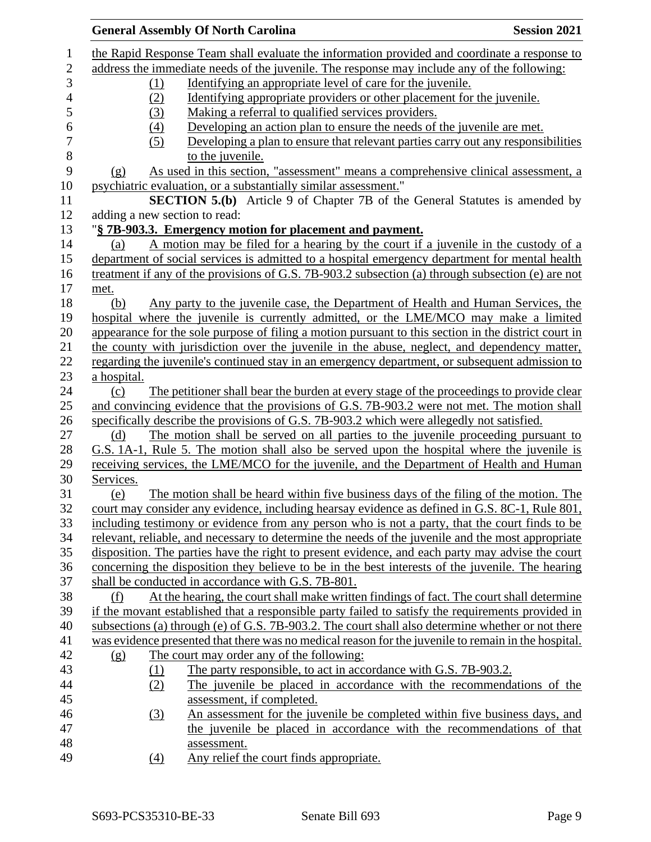|             | <b>General Assembly Of North Carolina</b>                                                            | <b>Session 2021</b> |
|-------------|------------------------------------------------------------------------------------------------------|---------------------|
|             | the Rapid Response Team shall evaluate the information provided and coordinate a response to         |                     |
|             | address the immediate needs of the juvenile. The response may include any of the following:          |                     |
| (1)         | Identifying an appropriate level of care for the juvenile.                                           |                     |
| (2)         | Identifying appropriate providers or other placement for the juvenile.                               |                     |
| (3)         | Making a referral to qualified services providers.                                                   |                     |
| (4)         | Developing an action plan to ensure the needs of the juvenile are met.                               |                     |
| (5)         | Developing a plan to ensure that relevant parties carry out any responsibilities                     |                     |
|             | to the juvenile.                                                                                     |                     |
| (g)         | As used in this section, "assessment" means a comprehensive clinical assessment, a                   |                     |
|             | psychiatric evaluation, or a substantially similar assessment."                                      |                     |
|             | <b>SECTION 5.(b)</b> Article 9 of Chapter 7B of the General Statutes is amended by                   |                     |
|             | adding a new section to read:                                                                        |                     |
|             | "§ 7B-903.3. Emergency motion for placement and payment.                                             |                     |
| (a)         | A motion may be filed for a hearing by the court if a juvenile in the custody of a                   |                     |
|             | department of social services is admitted to a hospital emergency department for mental health       |                     |
|             | treatment if any of the provisions of G.S. 7B-903.2 subsection (a) through subsection (e) are not    |                     |
| met.        |                                                                                                      |                     |
| (b)         | Any party to the juvenile case, the Department of Health and Human Services, the                     |                     |
|             | hospital where the juvenile is currently admitted, or the LME/MCO may make a limited                 |                     |
|             | appearance for the sole purpose of filing a motion pursuant to this section in the district court in |                     |
|             | the county with jurisdiction over the juvenile in the abuse, neglect, and dependency matter,         |                     |
|             | regarding the juvenile's continued stay in an emergency department, or subsequent admission to       |                     |
| a hospital. |                                                                                                      |                     |
| (c)         | The petitioner shall bear the burden at every stage of the proceedings to provide clear              |                     |
|             | and convincing evidence that the provisions of G.S. 7B-903.2 were not met. The motion shall          |                     |
|             | specifically describe the provisions of G.S. 7B-903.2 which were allegedly not satisfied.            |                     |
| (d)         | The motion shall be served on all parties to the juvenile proceeding pursuant to                     |                     |
|             | G.S. 1A-1, Rule 5. The motion shall also be served upon the hospital where the juvenile is           |                     |
|             | receiving services, the LME/MCO for the juvenile, and the Department of Health and Human             |                     |
| Services.   |                                                                                                      |                     |
| (e)         | The motion shall be heard within five business days of the filing of the motion. The                 |                     |
|             | court may consider any evidence, including hearsay evidence as defined in G.S. 8C-1, Rule 801,       |                     |
|             | including testimony or evidence from any person who is not a party, that the court finds to be       |                     |
|             | relevant, reliable, and necessary to determine the needs of the juvenile and the most appropriate    |                     |
|             | disposition. The parties have the right to present evidence, and each party may advise the court     |                     |
|             | concerning the disposition they believe to be in the best interests of the juvenile. The hearing     |                     |
|             | shall be conducted in accordance with G.S. 7B-801.                                                   |                     |
| (f)         | At the hearing, the court shall make written findings of fact. The court shall determine             |                     |
|             | if the movant established that a responsible party failed to satisfy the requirements provided in    |                     |
|             | subsections (a) through (e) of G.S. 7B-903.2. The court shall also determine whether or not there    |                     |
|             | was evidence presented that there was no medical reason for the juvenile to remain in the hospital.  |                     |
| (g)         | The court may order any of the following:                                                            |                     |
| (1)         | The party responsible, to act in accordance with G.S. 7B-903.2.                                      |                     |
| (2)         | The juvenile be placed in accordance with the recommendations of the                                 |                     |
|             | assessment, if completed.                                                                            |                     |
| (3)         | An assessment for the juvenile be completed within five business days, and                           |                     |
|             | the juvenile be placed in accordance with the recommendations of that                                |                     |
|             | assessment.                                                                                          |                     |
| (4)         | Any relief the court finds appropriate.                                                              |                     |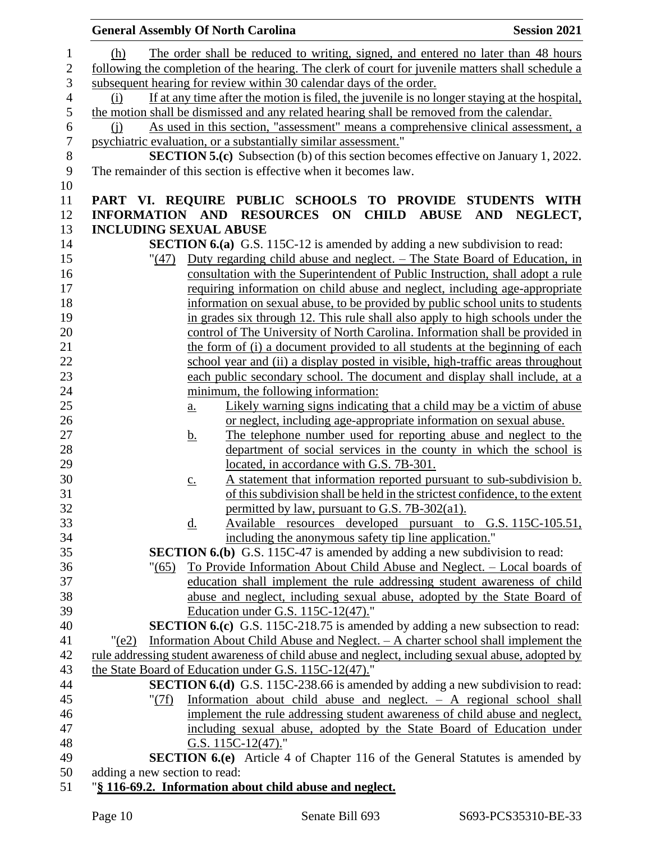|                  | <b>General Assembly Of North Carolina</b><br><b>Session 2021</b>                                                                           |  |
|------------------|--------------------------------------------------------------------------------------------------------------------------------------------|--|
| $\mathbf{1}$     | The order shall be reduced to writing, signed, and entered no later than 48 hours<br><u>(h)</u>                                            |  |
| $\overline{c}$   | following the completion of the hearing. The clerk of court for juvenile matters shall schedule a                                          |  |
| 3                | subsequent hearing for review within 30 calendar days of the order.                                                                        |  |
| 4                | If at any time after the motion is filed, the juvenile is no longer staying at the hospital,<br>(i)                                        |  |
| 5                | the motion shall be dismissed and any related hearing shall be removed from the calendar.                                                  |  |
| 6                | As used in this section, "assessment" means a comprehensive clinical assessment, a<br>(i)                                                  |  |
| $\boldsymbol{7}$ | psychiatric evaluation, or a substantially similar assessment."                                                                            |  |
| $8\,$            | <b>SECTION 5.(c)</b> Subsection (b) of this section becomes effective on January 1, 2022.                                                  |  |
| 9<br>10          | The remainder of this section is effective when it becomes law.                                                                            |  |
| 11               | PART VI. REQUIRE PUBLIC SCHOOLS TO PROVIDE STUDENTS WITH                                                                                   |  |
| 12               | INFORMATION AND RESOURCES ON CHILD ABUSE AND NEGLECT,                                                                                      |  |
| 13               | <b>INCLUDING SEXUAL ABUSE</b>                                                                                                              |  |
| 14               | <b>SECTION 6.(a)</b> G.S. 115C-12 is amended by adding a new subdivision to read:                                                          |  |
| 15               | "(47) Duty regarding child abuse and neglect. – The State Board of Education, in                                                           |  |
| 16               | consultation with the Superintendent of Public Instruction, shall adopt a rule                                                             |  |
| 17               | requiring information on child abuse and neglect, including age-appropriate                                                                |  |
| 18               | information on sexual abuse, to be provided by public school units to students                                                             |  |
| 19               | in grades six through 12. This rule shall also apply to high schools under the                                                             |  |
| 20               | control of The University of North Carolina. Information shall be provided in                                                              |  |
| 21               | the form of (i) a document provided to all students at the beginning of each                                                               |  |
| 22               | school year and (ii) a display posted in visible, high-traffic areas throughout                                                            |  |
| 23               | each public secondary school. The document and display shall include, at a                                                                 |  |
| 24               | minimum, the following information:                                                                                                        |  |
| 25               | Likely warning signs indicating that a child may be a victim of abuse<br>$\underline{a}$ .                                                 |  |
| 26               | or neglect, including age-appropriate information on sexual abuse.                                                                         |  |
| 27               | The telephone number used for reporting abuse and neglect to the<br><u>b.</u>                                                              |  |
| 28               | department of social services in the county in which the school is                                                                         |  |
| 29               | located, in accordance with G.S. 7B-301.                                                                                                   |  |
| 30               | A statement that information reported pursuant to sub-subdivision b.<br>$\underline{c}$ .                                                  |  |
| 31               | of this subdivision shall be held in the strictest confidence, to the extent                                                               |  |
| 32               | permitted by law, pursuant to G.S. 7B-302(a1).                                                                                             |  |
| 33               | Available resources developed pursuant to G.S. 115C-105.51,<br>$\underline{d}$ .                                                           |  |
| 34<br>35         | including the anonymous safety tip line application."<br><b>SECTION 6.(b)</b> G.S. 115C-47 is amended by adding a new subdivision to read: |  |
| 36               | <u>To Provide Information About Child Abuse and Neglect. – Local boards of</u><br>" (65)                                                   |  |
| 37               | education shall implement the rule addressing student awareness of child                                                                   |  |
| 38               | abuse and neglect, including sexual abuse, adopted by the State Board of                                                                   |  |
| 39               | Education under G.S. 115C-12(47)."                                                                                                         |  |
| 40               | <b>SECTION 6.(c)</b> G.S. 115C-218.75 is amended by adding a new subsection to read:                                                       |  |
| 41               | Information About Child Abuse and Neglect. - A charter school shall implement the<br>"(e2)                                                 |  |
| 42               | rule addressing student awareness of child abuse and neglect, including sexual abuse, adopted by                                           |  |
| 43               | the State Board of Education under G.S. 115C-12(47)."                                                                                      |  |
| 44               | <b>SECTION 6.(d)</b> G.S. 115C-238.66 is amended by adding a new subdivision to read:                                                      |  |
| 45               | Information about child abuse and neglect. - A regional school shall<br>"(7f)                                                              |  |
| 46               | implement the rule addressing student awareness of child abuse and neglect,                                                                |  |
| 47               | including sexual abuse, adopted by the State Board of Education under                                                                      |  |
| 48               | G.S. $115C-12(47)$ ."                                                                                                                      |  |
| 49               | <b>SECTION 6.(e)</b> Article 4 of Chapter 116 of the General Statutes is amended by                                                        |  |
| 50               | adding a new section to read:                                                                                                              |  |
| 51               | "§ 116-69.2. Information about child abuse and neglect.                                                                                    |  |